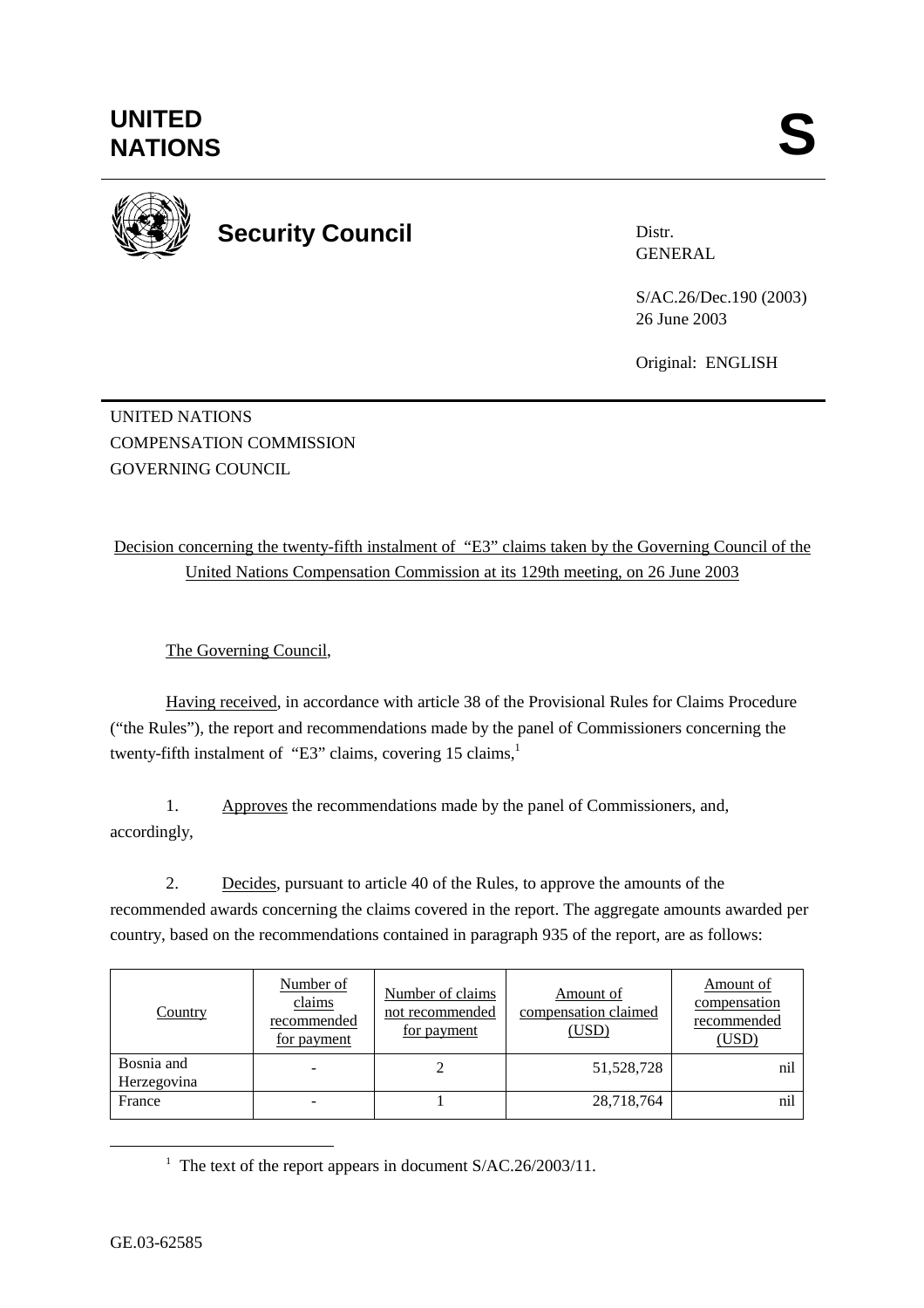

**Security Council** 

Distr. GENERAL

S/AC.26/Dec.190 (2003) 26 June 2003

Original: ENGLISH

UNITED NATIONS COMPENSATION COMMISSION GOVERNING COUNCIL

Decision concerning the twenty-fifth instalment of "E3" claims taken by the Governing Council of the United Nations Compensation Commission at its 129th meeting, on 26 June 2003

The Governing Council,

Having received, in accordance with article 38 of the Provisional Rules for Claims Procedure ("the Rules"), the report and recommendations made by the panel of Commissioners concerning the twenty-fifth instalment of "E3" claims, covering  $15 \text{ claims},$ <sup>1</sup>

1. Approves the recommendations made by the panel of Commissioners, and, accordingly,

2. Decides, pursuant to article 40 of the Rules, to approve the amounts of the recommended awards concerning the claims covered in the report. The aggregate amounts awarded per country, based on the recommendations contained in paragraph 935 of the report, are as follows:

| Country                   | Number of<br>claims<br>recommended<br>for payment | Number of claims<br>not recommended<br>for payment | Amount of<br>compensation claimed<br>(USD) | Amount of<br>compensation<br>recommended<br>(USD) |
|---------------------------|---------------------------------------------------|----------------------------------------------------|--------------------------------------------|---------------------------------------------------|
| Bosnia and<br>Herzegovina |                                                   |                                                    | 51,528,728                                 | nil                                               |
| France                    |                                                   |                                                    | 28,718,764                                 | nil                                               |

<u>1</u> <sup>1</sup> The text of the report appears in document  $S/AC.26/2003/11$ .